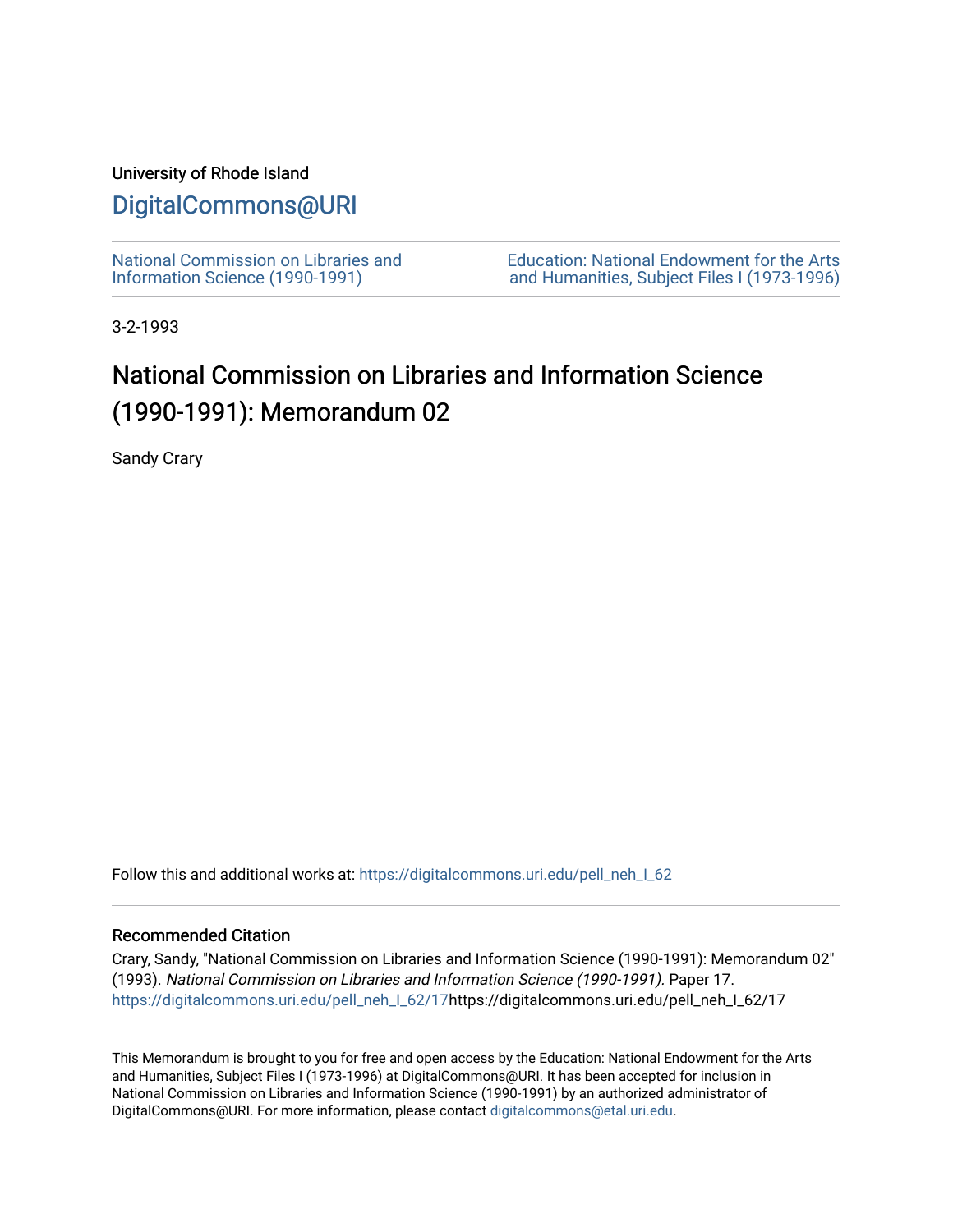## University of Rhode Island

## [DigitalCommons@URI](https://digitalcommons.uri.edu/)

[National Commission on Libraries and](https://digitalcommons.uri.edu/pell_neh_I_62) [Information Science \(1990-1991\)](https://digitalcommons.uri.edu/pell_neh_I_62) 

[Education: National Endowment for the Arts](https://digitalcommons.uri.edu/pell_neh_I)  [and Humanities, Subject Files I \(1973-1996\)](https://digitalcommons.uri.edu/pell_neh_I) 

3-2-1993

## National Commission on Libraries and Information Science (1990-1991): Memorandum 02

Sandy Crary

Follow this and additional works at: https://digitalcommons.uri.edu/pell\_neh\_I\_62

## Recommended Citation

Crary, Sandy, "National Commission on Libraries and Information Science (1990-1991): Memorandum 02" (1993). National Commission on Libraries and Information Science (1990-1991). Paper 17. [https://digitalcommons.uri.edu/pell\\_neh\\_I\\_62/17h](https://digitalcommons.uri.edu/pell_neh_I_62/17?utm_source=digitalcommons.uri.edu%2Fpell_neh_I_62%2F17&utm_medium=PDF&utm_campaign=PDFCoverPages)ttps://digitalcommons.uri.edu/pell\_neh\_I\_62/17

This Memorandum is brought to you for free and open access by the Education: National Endowment for the Arts and Humanities, Subject Files I (1973-1996) at DigitalCommons@URI. It has been accepted for inclusion in National Commission on Libraries and Information Science (1990-1991) by an authorized administrator of DigitalCommons@URI. For more information, please contact [digitalcommons@etal.uri.edu.](mailto:digitalcommons@etal.uri.edu)